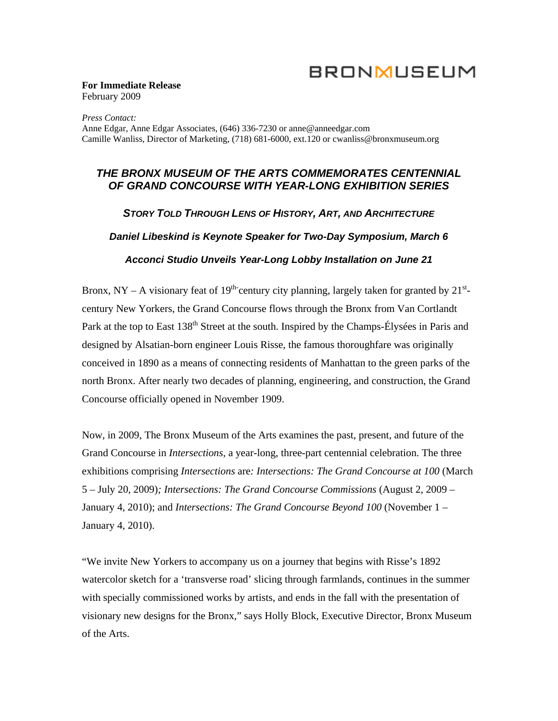# **BRONMUSEUM**

#### **For Immediate Release**  February 2009

*Press Contact:*  Anne Edgar, Anne Edgar Associates, (646) 336-7230 or [anne@anneedgar.com](mailto:anne@anneedgar.com)  Camille Wanliss, Director of Marketing, (718) 681-6000, ext.120 or [cwanliss@bronxmuseum.org](mailto:cwanliss@bronxmuseum.org) 

## *THE BRONX MUSEUM OF THE ARTS COMMEMORATES CENTENNIAL OF GRAND CONCOURSE WITH YEAR-LONG EXHIBITION SERIES*

*STORY TOLD THROUGH LENS OF HISTORY, ART, AND ARCHITECTURE Daniel Libeskind is Keynote Speaker for Two-Day Symposium, March 6 Acconci Studio Unveils Year-Long Lobby Installation on June 21* 

Bronx, NY – A visionary feat of 19<sup>th-</sup>century city planning, largely taken for granted by  $21<sup>st</sup>$ century New Yorkers, the Grand Concourse flows through the Bronx from Van Cortlandt Park at the top to East 138<sup>th</sup> Street at the south. Inspired by the Champs-Élysées in Paris and designed by Alsatian-born engineer Louis Risse, the famous thoroughfare was originally conceived in 1890 as a means of connecting residents of Manhattan to the green parks of the north Bronx. After nearly two decades of planning, engineering, and construction, the Grand Concourse officially opened in November 1909.

Now, in 2009, The Bronx Museum of the Arts examines the past, present, and future of the Grand Concourse in *Intersections*, a year-long, three-part centennial celebration. The three exhibitions comprising *Intersections* are*: Intersections: The Grand Concourse at 100* (March 5 – July 20, 2009)*; Intersections: The Grand Concourse Commissions* (August 2, 2009 – January 4, 2010); and *Intersections: The Grand Concourse Beyond 100* (November 1 – January 4, 2010).

"We invite New Yorkers to accompany us on a journey that begins with Risse's 1892 watercolor sketch for a 'transverse road' slicing through farmlands, continues in the summer with specially commissioned works by artists, and ends in the fall with the presentation of visionary new designs for the Bronx," says Holly Block, Executive Director, Bronx Museum of the Arts.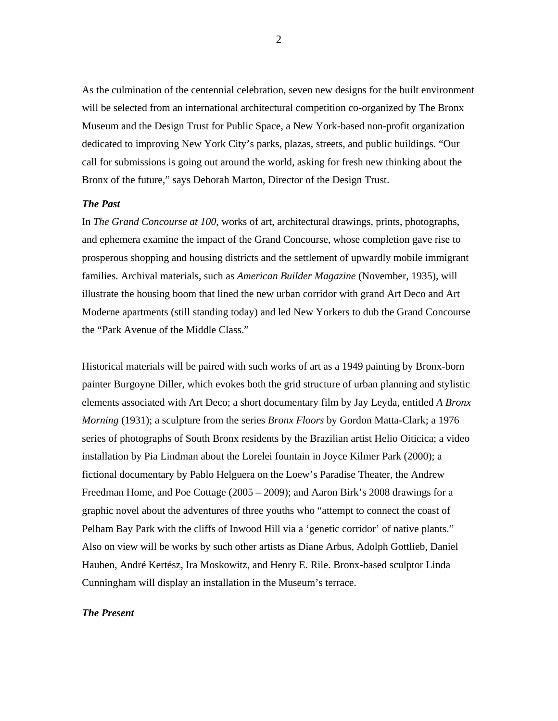As the culmination of the centennial celebration, seven new designs for the built environment will be selected from an international architectural competition co-organized by The Bronx Museum and the Design Trust for Public Space, a New York-based non-profit organization dedicated to improving New York City's parks, plazas, streets, and public buildings. "Our call for submissions is going out around the world, asking for fresh new thinking about the Bronx of the future," says Deborah Marton, Director of the Design Trust.

#### *The Past*

In *The Grand Concourse at 100*, works of art, architectural drawings, prints, photographs, and ephemera examine the impact of the Grand Concourse, whose completion gave rise to prosperous shopping and housing districts and the settlement of upwardly mobile immigrant families. Archival materials, such as *American Builder Magazine* (November, 1935), will illustrate the housing boom that lined the new urban corridor with grand Art Deco and Art Moderne apartments (still standing today) and led New Yorkers to dub the Grand Concourse the "Park Avenue of the Middle Class."

Historical materials will be paired with such works of art as a 1949 painting by Bronx-born painter Burgoyne Diller, which evokes both the grid structure of urban planning and stylistic elements associated with Art Deco; a short documentary film by Jay Leyda, entitled *A Bronx Morning* (1931); a sculpture from the series *Bronx Floors* by Gordon Matta-Clark; a 1976 series of photographs of South Bronx residents by the Brazilian artist Helio Oiticica; a video installation by Pia Lindman about the Lorelei fountain in Joyce Kilmer Park (2000); a fictional documentary by Pablo Helguera on the Loew's Paradise Theater, the Andrew Freedman Home, and Poe Cottage (2005 – 2009); and Aaron Birk's 2008 drawings for a graphic novel about the adventures of three youths who "attempt to connect the coast of Pelham Bay Park with the cliffs of Inwood Hill via a 'genetic corridor' of native plants." Also on view will be works by such other artists as Diane Arbus, Adolph Gottlieb, Daniel Hauben, André Kertész, Ira Moskowitz, and Henry E. Rile. Bronx-based sculptor Linda Cunningham will display an installation in the Museum's terrace.

### *The Present*

2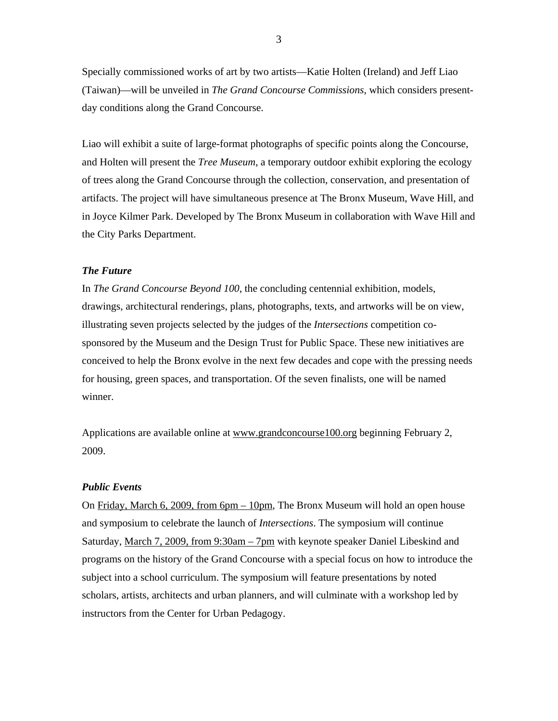Specially commissioned works of art by two artists—Katie Holten (Ireland) and Jeff Liao (Taiwan)—will be unveiled in *The Grand Concourse Commissions*, which considers presentday conditions along the Grand Concourse.

Liao will exhibit a suite of large-format photographs of specific points along the Concourse, and Holten will present the *Tree Museum*, a temporary outdoor exhibit exploring the ecology of trees along the Grand Concourse through the collection, conservation, and presentation of artifacts. The project will have simultaneous presence at The Bronx Museum, Wave Hill, and in Joyce Kilmer Park. Developed by The Bronx Museum in collaboration with Wave Hill and the City Parks Department.

#### *The Future*

In *The Grand Concourse Beyond 100*, the concluding centennial exhibition, models, drawings, architectural renderings, plans, photographs, texts, and artworks will be on view, illustrating seven projects selected by the judges of the *Intersections* competition cosponsored by the Museum and the Design Trust for Public Space. These new initiatives are conceived to help the Bronx evolve in the next few decades and cope with the pressing needs for housing, green spaces, and transportation. Of the seven finalists, one will be named winner.

Applications are available online at [www.grandconcourse100.org](http://www.grandconcourse100.org/) beginning February 2, 2009.

#### *Public Events*

On Friday, March 6, 2009, from 6pm – 10pm, The Bronx Museum will hold an open house and symposium to celebrate the launch of *Intersections*. The symposium will continue Saturday, March 7, 2009, from 9:30am – 7pm with keynote speaker Daniel Libeskind and programs on the history of the Grand Concourse with a special focus on how to introduce the subject into a school curriculum. The symposium will feature presentations by noted scholars, artists, architects and urban planners, and will culminate with a workshop led by instructors from the Center for Urban Pedagogy.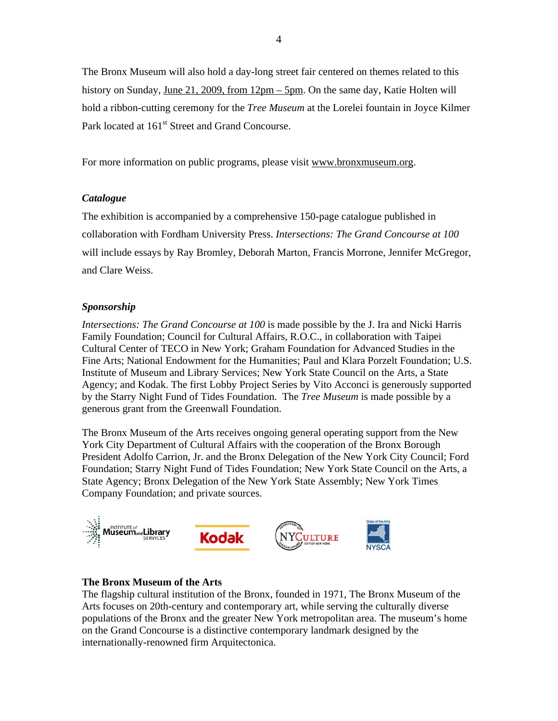The Bronx Museum will also hold a day-long street fair centered on themes related to this history on Sunday, June 21, 2009, from 12pm – 5pm. On the same day, Katie Holten will hold a ribbon-cutting ceremony for the *Tree Museum* at the Lorelei fountain in Joyce Kilmer Park located at 161<sup>st</sup> Street and Grand Concourse.

For more information on public programs, please visit [www.bronxmuseum.org.](http://www.bronxmuseum.org/)

## *Catalogue*

The exhibition is accompanied by a comprehensive 150-page catalogue published in collaboration with Fordham University Press. *Intersections: The Grand Concourse at 100* will include essays by Ray Bromley, Deborah Marton, Francis Morrone, Jennifer McGregor, and Clare Weiss.

## *Sponsorship*

*Intersections: The Grand Concourse at 100* is made possible by the J. Ira and Nicki Harris Family Foundation; Council for Cultural Affairs, R.O.C., in collaboration with Taipei Cultural Center of TECO in New York; Graham Foundation for Advanced Studies in the Fine Arts; National Endowment for the Humanities; Paul and Klara Porzelt Foundation; U.S. Institute of Museum and Library Services; New York State Council on the Arts, a State Agency; and Kodak. The first Lobby Project Series by Vito Acconci is generously supported by the Starry Night Fund of Tides Foundation. The *Tree Museum* is made possible by a generous grant from the Greenwall Foundation.

The Bronx Museum of the Arts receives ongoing general operating support from the New York City Department of Cultural Affairs with the cooperation of the Bronx Borough President Adolfo Carrion, Jr. and the Bronx Delegation of the New York City Council; Ford Foundation; Starry Night Fund of Tides Foundation; New York State Council on the Arts, a State Agency; Bronx Delegation of the New York State Assembly; New York Times Company Foundation; and private sources.



## **The Bronx Museum of the Arts**

The flagship cultural institution of the Bronx, founded in 1971, The Bronx Museum of the Arts focuses on 20th-century and contemporary art, while serving the culturally diverse populations of the Bronx and the greater New York metropolitan area. The museum's home on the Grand Concourse is a distinctive contemporary landmark designed by the internationally-renowned firm Arquitectonica.